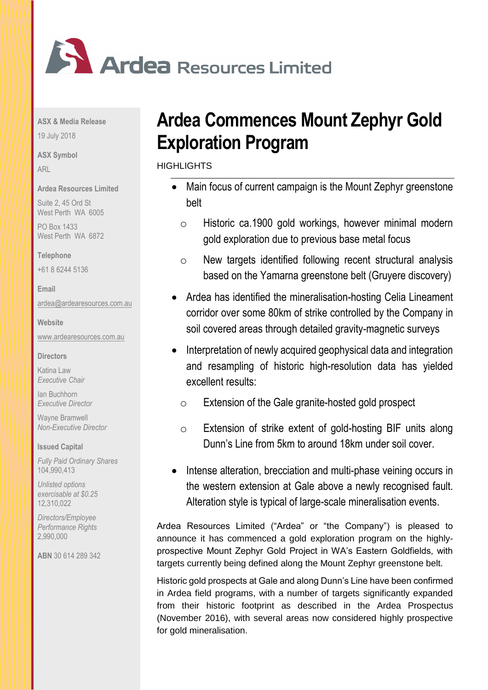

**ASX & Media Release**

19 July 2018

**ASX Symbol**

ARL

**Ardea Resources Limited**

Suite 2, 45 Ord St West Perth WA 6005

PO Box 1433 West Perth WA 6872

**Telephone** 

+61 8 6244 5136

**Email**

[ardea@ardearesources.com.au](mailto:ardea@ardearesources.com.au)

**Website**

[www.ardearesources.com.au](http://www.ardearesources.com.au/)

**Directors**

Katina Law *Executive Chair*

Ian Buchhorn *Executive Director*

Wayne Bramwell *Non-Executive Director*

**Issued Capital**

*Fully Paid Ordinary Shares* 104,990,413

*Unlisted options exercisable at \$0.25* 12,310,022

*Directors/Employee Performance Rights* 2,990,000

**ABN** 30 614 289 342

# **Ardea Commences Mount Zephyr Gold Exploration Program**

**HIGHLIGHTS** 

- Main focus of current campaign is the Mount Zephyr greenstone belt
	- o Historic ca.1900 gold workings, however minimal modern gold exploration due to previous base metal focus
	- o New targets identified following recent structural analysis based on the Yamarna greenstone belt (Gruyere discovery)
- Ardea has identified the mineralisation-hosting Celia Lineament corridor over some 80km of strike controlled by the Company in soil covered areas through detailed gravity-magnetic surveys
- Interpretation of newly acquired geophysical data and integration and resampling of historic high-resolution data has yielded excellent results:
	- o Extension of the Gale granite-hosted gold prospect
	- o Extension of strike extent of gold-hosting BIF units along Dunn's Line from 5km to around 18km under soil cover.
- Intense alteration, brecciation and multi-phase veining occurs in the western extension at Gale above a newly recognised fault. Alteration style is typical of large-scale mineralisation events.

Ardea Resources Limited ("Ardea" or "the Company") is pleased to announce it has commenced a gold exploration program on the highlyprospective Mount Zephyr Gold Project in WA's Eastern Goldfields, with targets currently being defined along the Mount Zephyr greenstone belt.

Historic gold prospects at Gale and along Dunn's Line have been confirmed in Ardea field programs, with a number of targets significantly expanded from their historic footprint as described in the Ardea Prospectus (November 2016), with several areas now considered highly prospective for gold mineralisation.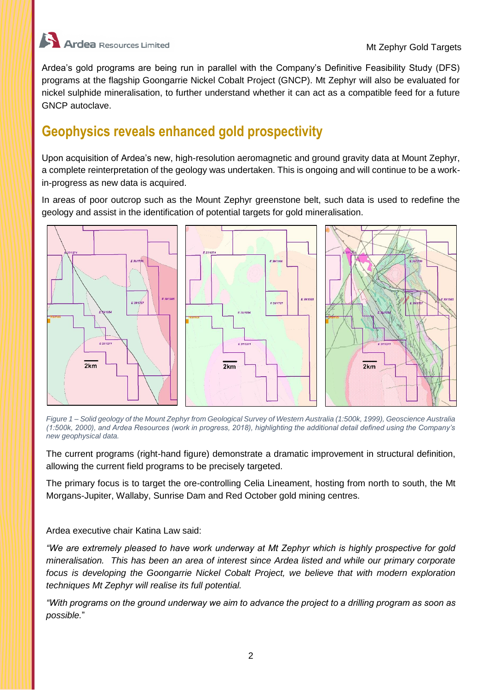

Ardea's gold programs are being run in parallel with the Company's Definitive Feasibility Study (DFS) programs at the flagship Goongarrie Nickel Cobalt Project (GNCP). Mt Zephyr will also be evaluated for nickel sulphide mineralisation, to further understand whether it can act as a compatible feed for a future GNCP autoclave.

### **Geophysics reveals enhanced gold prospectivity**

Upon acquisition of Ardea's new, high-resolution aeromagnetic and ground gravity data at Mount Zephyr, a complete reinterpretation of the geology was undertaken. This is ongoing and will continue to be a workin-progress as new data is acquired.

In areas of poor outcrop such as the Mount Zephyr greenstone belt, such data is used to redefine the geology and assist in the identification of potential targets for gold mineralisation.



*Figure 1 – Solid geology of the Mount Zephyr from Geological Survey of Western Australia (1:500k, 1999), Geoscience Australia (1:500k, 2000), and Ardea Resources (work in progress, 2018), highlighting the additional detail defined using the Company's new geophysical data.*

The current programs (right-hand figure) demonstrate a dramatic improvement in structural definition, allowing the current field programs to be precisely targeted.

The primary focus is to target the ore-controlling Celia Lineament, hosting from north to south, the Mt Morgans-Jupiter, Wallaby, Sunrise Dam and Red October gold mining centres.

Ardea executive chair Katina Law said:

*"We are extremely pleased to have work underway at Mt Zephyr which is highly prospective for gold mineralisation. This has been an area of interest since Ardea listed and while our primary corporate focus is developing the Goongarrie Nickel Cobalt Project, we believe that with modern exploration techniques Mt Zephyr will realise its full potential.* 

*"With programs on the ground underway we aim to advance the project to a drilling program as soon as possible.*"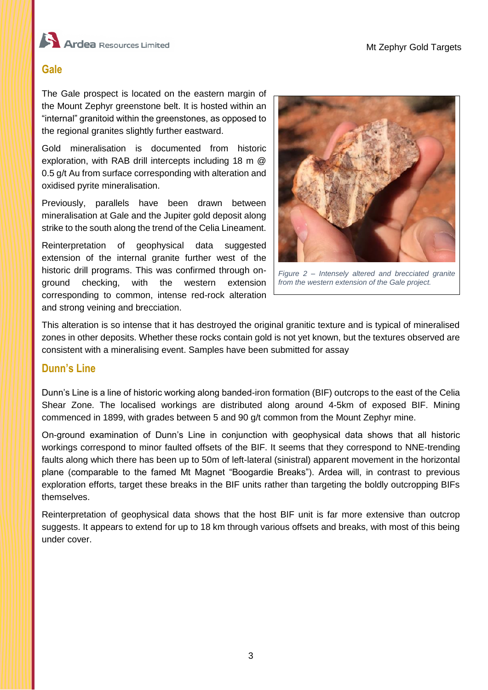



#### **Gale**

The Gale prospect is located on the eastern margin of the Mount Zephyr greenstone belt. It is hosted within an "internal" granitoid within the greenstones, as opposed to the regional granites slightly further eastward.

Gold mineralisation is documented from historic exploration, with RAB drill intercepts including 18 m @ 0.5 g/t Au from surface corresponding with alteration and oxidised pyrite mineralisation.

Previously, parallels have been drawn between mineralisation at Gale and the Jupiter gold deposit along strike to the south along the trend of the Celia Lineament.

Reinterpretation of geophysical data suggested extension of the internal granite further west of the historic drill programs. This was confirmed through onground checking, with the western extension corresponding to common, intense red-rock alteration and strong veining and brecciation.



*Figure 2 – Intensely altered and brecciated granite from the western extension of the Gale project.*

This alteration is so intense that it has destroyed the original granitic texture and is typical of mineralised zones in other deposits. Whether these rocks contain gold is not yet known, but the textures observed are consistent with a mineralising event. Samples have been submitted for assay

#### **Dunn's Line**

Dunn's Line is a line of historic working along banded-iron formation (BIF) outcrops to the east of the Celia Shear Zone. The localised workings are distributed along around 4-5km of exposed BIF. Mining commenced in 1899, with grades between 5 and 90 g/t common from the Mount Zephyr mine.

On-ground examination of Dunn's Line in conjunction with geophysical data shows that all historic workings correspond to minor faulted offsets of the BIF. It seems that they correspond to NNE-trending faults along which there has been up to 50m of left-lateral (sinistral) apparent movement in the horizontal plane (comparable to the famed Mt Magnet "Boogardie Breaks"). Ardea will, in contrast to previous exploration efforts, target these breaks in the BIF units rather than targeting the boldly outcropping BIFs themselves.

Reinterpretation of geophysical data shows that the host BIF unit is far more extensive than outcrop suggests. It appears to extend for up to 18 km through various offsets and breaks, with most of this being under cover.